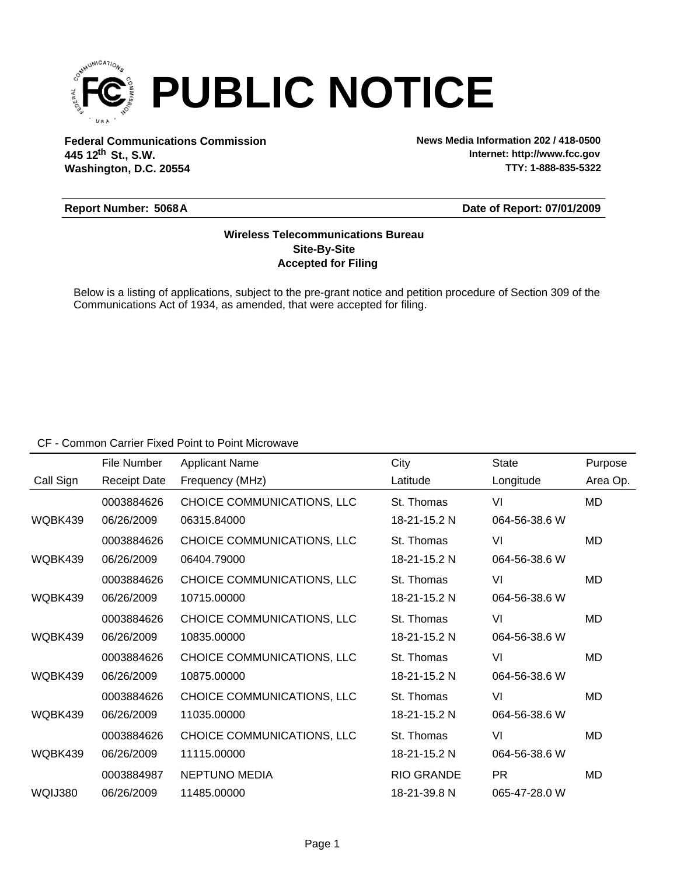

**Federal Communications Commission News Media Information 202 / 418-0500 Washington, D.C. 20554 th 445 12 St., S.W.**

**Internet: http://www.fcc.gov TTY: 1-888-835-5322**

#### **Report Number: 5068A**

#### **Date of Report: 07/01/2009**

## **Accepted for Filing Site-By-Site Wireless Telecommunications Bureau**

Below is a listing of applications, subject to the pre-grant notice and petition procedure of Section 309 of the Communications Act of 1934, as amended, that were accepted for filing.

CF - Common Carrier Fixed Point to Point Microwave

|           | File Number         | <b>Applicant Name</b>      | City              | <b>State</b>  | Purpose   |
|-----------|---------------------|----------------------------|-------------------|---------------|-----------|
| Call Sign | <b>Receipt Date</b> | Frequency (MHz)            | Latitude          | Longitude     | Area Op.  |
|           | 0003884626          | CHOICE COMMUNICATIONS, LLC | St. Thomas        | VI            | <b>MD</b> |
| WQBK439   | 06/26/2009          | 06315.84000                | 18-21-15.2 N      | 064-56-38.6 W |           |
|           | 0003884626          | CHOICE COMMUNICATIONS, LLC | St. Thomas        | VI            | MD        |
| WQBK439   | 06/26/2009          | 06404.79000                | 18-21-15.2 N      | 064-56-38.6 W |           |
|           | 0003884626          | CHOICE COMMUNICATIONS, LLC | St. Thomas        | VI            | <b>MD</b> |
| WQBK439   | 06/26/2009          | 10715.00000                | 18-21-15.2 N      | 064-56-38.6 W |           |
|           | 0003884626          | CHOICE COMMUNICATIONS, LLC | St. Thomas        | VI            | MD        |
| WQBK439   | 06/26/2009          | 10835.00000                | 18-21-15.2 N      | 064-56-38.6 W |           |
|           | 0003884626          | CHOICE COMMUNICATIONS, LLC | St. Thomas        | VI            | MD        |
| WQBK439   | 06/26/2009          | 10875.00000                | 18-21-15.2 N      | 064-56-38.6 W |           |
|           | 0003884626          | CHOICE COMMUNICATIONS, LLC | St. Thomas        | VI            | MD        |
| WQBK439   | 06/26/2009          | 11035.00000                | 18-21-15.2 N      | 064-56-38.6 W |           |
|           | 0003884626          | CHOICE COMMUNICATIONS, LLC | St. Thomas        | VI            | MD        |
| WQBK439   | 06/26/2009          | 11115.00000                | 18-21-15.2 N      | 064-56-38.6 W |           |
|           | 0003884987          | <b>NEPTUNO MEDIA</b>       | <b>RIO GRANDE</b> | <b>PR</b>     | MD        |
| WQIJ380   | 06/26/2009          | 11485.00000                | 18-21-39.8 N      | 065-47-28.0 W |           |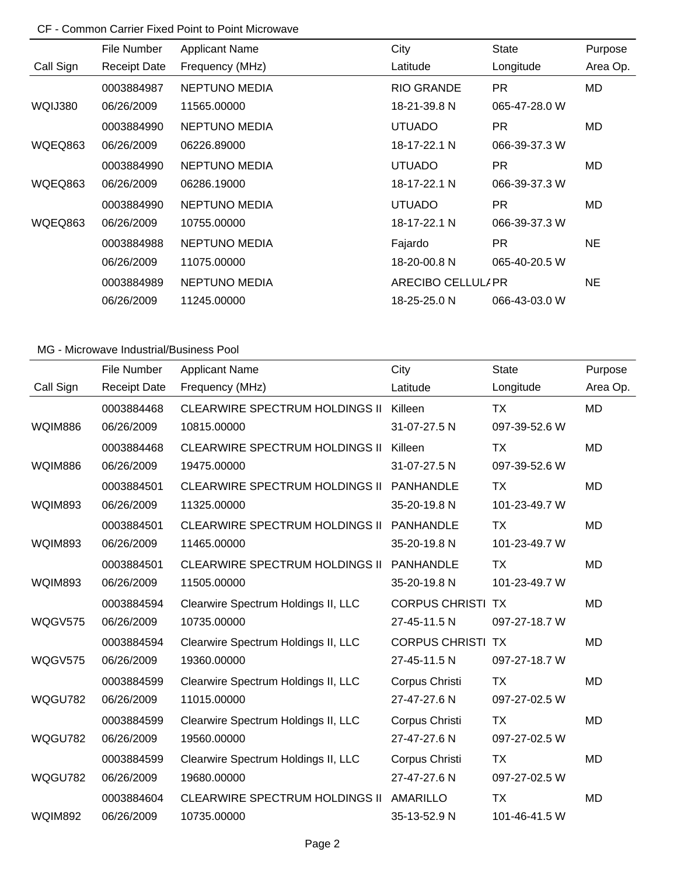# CF - Common Carrier Fixed Point to Point Microwave

|                | File Number         | <b>Applicant Name</b> | City               | State         | Purpose   |
|----------------|---------------------|-----------------------|--------------------|---------------|-----------|
| Call Sign      | <b>Receipt Date</b> | Frequency (MHz)       | Latitude           | Longitude     | Area Op.  |
|                | 0003884987          | <b>NEPTUNO MEDIA</b>  | <b>RIO GRANDE</b>  | PR.           | MD        |
| WQIJ380        | 06/26/2009          | 11565.00000           | 18-21-39.8 N       | 065-47-28.0 W |           |
|                | 0003884990          | <b>NEPTUNO MEDIA</b>  | <b>UTUADO</b>      | <b>PR</b>     | MD.       |
| WQEQ863        | 06/26/2009          | 06226.89000           | 18-17-22.1 N       | 066-39-37.3 W |           |
|                | 0003884990          | <b>NEPTUNO MEDIA</b>  | <b>UTUADO</b>      | PR.           | MD        |
| <b>WQEQ863</b> | 06/26/2009          | 06286.19000           | 18-17-22.1 N       | 066-39-37.3 W |           |
|                | 0003884990          | <b>NEPTUNO MEDIA</b>  | <b>UTUADO</b>      | <b>PR</b>     | MD.       |
| WQEQ863        | 06/26/2009          | 10755.00000           | 18-17-22.1 N       | 066-39-37.3 W |           |
|                | 0003884988          | <b>NEPTUNO MEDIA</b>  | Fajardo            | PR.           | <b>NE</b> |
|                | 06/26/2009          | 11075.00000           | 18-20-00.8 N       | 065-40-20.5 W |           |
|                | 0003884989          | <b>NEPTUNO MEDIA</b>  | ARECIBO CELLULI PR |               | NE.       |
|                | 06/26/2009          | 11245.00000           | 18-25-25.0 N       | 066-43-03.0 W |           |

|                | File Number         | <b>Applicant Name</b>                 | City                     | <b>State</b>  | Purpose   |
|----------------|---------------------|---------------------------------------|--------------------------|---------------|-----------|
| Call Sign      | <b>Receipt Date</b> | Frequency (MHz)                       | Latitude                 | Longitude     | Area Op.  |
|                | 0003884468          | <b>CLEARWIRE SPECTRUM HOLDINGS II</b> | Killeen                  | <b>TX</b>     | <b>MD</b> |
| <b>WQIM886</b> | 06/26/2009          | 10815.00000                           | 31-07-27.5 N             | 097-39-52.6 W |           |
|                | 0003884468          | <b>CLEARWIRE SPECTRUM HOLDINGS II</b> | Killeen                  | <b>TX</b>     | <b>MD</b> |
| <b>WQIM886</b> | 06/26/2009          | 19475.00000                           | 31-07-27.5 N             | 097-39-52.6 W |           |
|                | 0003884501          | <b>CLEARWIRE SPECTRUM HOLDINGS II</b> | <b>PANHANDLE</b>         | <b>TX</b>     | <b>MD</b> |
| <b>WQIM893</b> | 06/26/2009          | 11325.00000                           | 35-20-19.8 N             | 101-23-49.7 W |           |
|                | 0003884501          | <b>CLEARWIRE SPECTRUM HOLDINGS II</b> | <b>PANHANDLE</b>         | <b>TX</b>     | <b>MD</b> |
| <b>WQIM893</b> | 06/26/2009          | 11465.00000                           | 35-20-19.8 N             | 101-23-49.7 W |           |
|                | 0003884501          | <b>CLEARWIRE SPECTRUM HOLDINGS II</b> | <b>PANHANDLE</b>         | <b>TX</b>     | MD        |
| <b>WQIM893</b> | 06/26/2009          | 11505.00000                           | 35-20-19.8 N             | 101-23-49.7 W |           |
|                | 0003884594          | Clearwire Spectrum Holdings II, LLC   | <b>CORPUS CHRISTI TX</b> |               | <b>MD</b> |
| <b>WQGV575</b> | 06/26/2009          | 10735.00000                           | 27-45-11.5 N             | 097-27-18.7 W |           |
|                | 0003884594          | Clearwire Spectrum Holdings II, LLC   | <b>CORPUS CHRISTI TX</b> |               | <b>MD</b> |
| WQGV575        | 06/26/2009          | 19360.00000                           | 27-45-11.5 N             | 097-27-18.7 W |           |
|                | 0003884599          | Clearwire Spectrum Holdings II, LLC   | Corpus Christi           | <b>TX</b>     | <b>MD</b> |
| WQGU782        | 06/26/2009          | 11015.00000                           | 27-47-27.6 N             | 097-27-02.5 W |           |
|                | 0003884599          | Clearwire Spectrum Holdings II, LLC   | Corpus Christi           | <b>TX</b>     | <b>MD</b> |
| WQGU782        | 06/26/2009          | 19560.00000                           | 27-47-27.6 N             | 097-27-02.5 W |           |
|                | 0003884599          | Clearwire Spectrum Holdings II, LLC   | Corpus Christi           | <b>TX</b>     | MD        |
| WQGU782        | 06/26/2009          | 19680.00000                           | 27-47-27.6 N             | 097-27-02.5 W |           |
|                | 0003884604          | <b>CLEARWIRE SPECTRUM HOLDINGS II</b> | <b>AMARILLO</b>          | <b>TX</b>     | MD        |
| <b>WQIM892</b> | 06/26/2009          | 10735.00000                           | 35-13-52.9 N             | 101-46-41.5 W |           |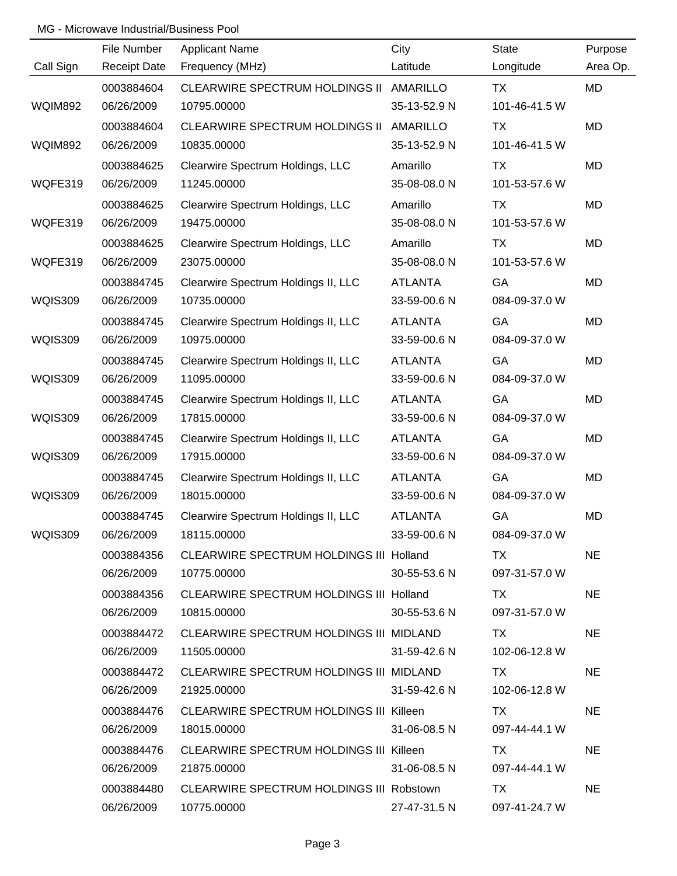|                | File Number         | <b>Applicant Name</b>                    | City               | <b>State</b>  | Purpose   |
|----------------|---------------------|------------------------------------------|--------------------|---------------|-----------|
| Call Sign      | <b>Receipt Date</b> | Frequency (MHz)                          | Latitude           | Longitude     | Area Op.  |
|                | 0003884604          | CLEARWIRE SPECTRUM HOLDINGS II AMARILLO  |                    | TX            | MD        |
| <b>WQIM892</b> | 06/26/2009          | 10795.00000                              | 35-13-52.9 N       | 101-46-41.5 W |           |
|                | 0003884604          | CLEARWIRE SPECTRUM HOLDINGS II           | AMARILLO           | ТX            | MD        |
| <b>WQIM892</b> | 06/26/2009          | 10835.00000                              | 35-13-52.9 N       | 101-46-41.5 W |           |
|                | 0003884625          | Clearwire Spectrum Holdings, LLC         | Amarillo           | TX            | MD        |
| WQFE319        | 06/26/2009          | 11245.00000                              | 35-08-08.0 N       | 101-53-57.6 W |           |
|                | 0003884625          | Clearwire Spectrum Holdings, LLC         | Amarillo           | <b>TX</b>     | <b>MD</b> |
| WQFE319        | 06/26/2009          | 19475.00000                              | 35-08-08.0 N       | 101-53-57.6 W |           |
|                | 0003884625          | Clearwire Spectrum Holdings, LLC         | Amarillo           | TX            | <b>MD</b> |
| WQFE319        | 06/26/2009          | 23075.00000                              | 35-08-08.0 N       | 101-53-57.6 W |           |
|                | 0003884745          | Clearwire Spectrum Holdings II, LLC      | <b>ATLANTA</b>     | GA            | <b>MD</b> |
| <b>WQIS309</b> | 06/26/2009          | 10735.00000                              | 33-59-00.6 N       | 084-09-37.0 W |           |
|                | 0003884745          | Clearwire Spectrum Holdings II, LLC      | <b>ATLANTA</b>     | GA            | <b>MD</b> |
| <b>WQIS309</b> | 06/26/2009          | 10975.00000                              | 33-59-00.6 N       | 084-09-37.0 W |           |
|                | 0003884745          | Clearwire Spectrum Holdings II, LLC      | <b>ATLANTA</b>     | GA            | MD        |
| <b>WQIS309</b> | 06/26/2009          | 11095.00000                              | 33-59-00.6 N       | 084-09-37.0 W |           |
|                | 0003884745          | Clearwire Spectrum Holdings II, LLC      | <b>ATLANTA</b>     | GA            | <b>MD</b> |
| <b>WQIS309</b> | 06/26/2009          | 17815.00000                              | 33-59-00.6 N       | 084-09-37.0 W |           |
|                | 0003884745          | Clearwire Spectrum Holdings II, LLC      | <b>ATLANTA</b>     | GA            | <b>MD</b> |
| <b>WQIS309</b> | 06/26/2009          | 17915.00000                              | 33-59-00.6 N       | 084-09-37.0 W |           |
|                | 0003884745          | Clearwire Spectrum Holdings II, LLC      | <b>ATLANTA</b>     | GA            | <b>MD</b> |
| <b>WQIS309</b> | 06/26/2009          | 18015.00000                              | 33-59-00.6 N       | 084-09-37.0 W |           |
|                | 0003884745          | Clearwire Spectrum Holdings II, LLC      | <b>ATLANTA</b>     | GA            | <b>MD</b> |
| <b>WQIS309</b> | 06/26/2009          | 18115.00000                              | 33-59-00.6 N       | 084-09-37.0 W |           |
|                | 0003884356          | CLEARWIRE SPECTRUM HOLDINGS III Holland  |                    | TX.           | <b>NE</b> |
|                | 06/26/2009          | 10775.00000                              | $30 - 55 - 53.6$ N | 097-31-57.0 W |           |
|                | 0003884356          | CLEARWIRE SPECTRUM HOLDINGS III Holland  |                    | TX.           | <b>NE</b> |
|                | 06/26/2009          | 10815.00000                              | 30-55-53.6 N       | 097-31-57.0 W |           |
|                | 0003884472          | CLEARWIRE SPECTRUM HOLDINGS III MIDLAND  |                    | TX            | <b>NE</b> |
|                | 06/26/2009          | 11505.00000                              | 31-59-42.6 N       | 102-06-12.8 W |           |
|                | 0003884472          | CLEARWIRE SPECTRUM HOLDINGS III MIDLAND  |                    | TX.           | <b>NE</b> |
|                | 06/26/2009          | 21925.00000                              | 31-59-42.6 N       | 102-06-12.8 W |           |
|                | 0003884476          | CLEARWIRE SPECTRUM HOLDINGS III Killeen  |                    | TX            | <b>NE</b> |
|                | 06/26/2009          | 18015.00000                              | 31-06-08.5 N       | 097-44-44.1 W |           |
|                | 0003884476          | CLEARWIRE SPECTRUM HOLDINGS III Killeen  |                    | TX.           | <b>NE</b> |
|                | 06/26/2009          | 21875.00000                              | 31-06-08.5 N       | 097-44-44.1 W |           |
|                | 0003884480          | CLEARWIRE SPECTRUM HOLDINGS III Robstown |                    | TX            | <b>NE</b> |
|                | 06/26/2009          | 10775.00000                              | 27-47-31.5 N       | 097-41-24.7 W |           |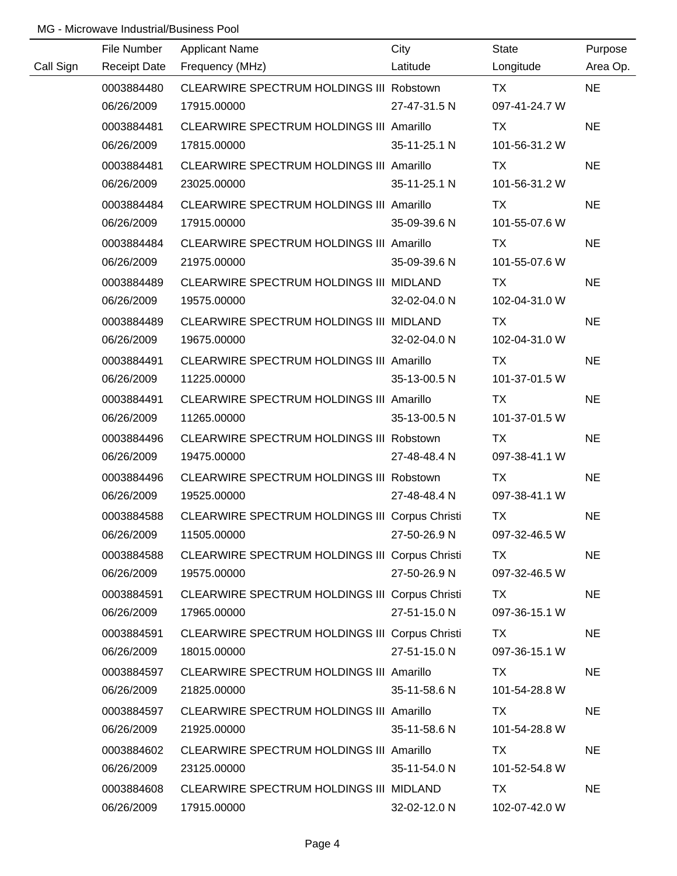|           | File Number         | <b>Applicant Name</b>                           | City         | <b>State</b>  | Purpose   |
|-----------|---------------------|-------------------------------------------------|--------------|---------------|-----------|
| Call Sign | <b>Receipt Date</b> | Frequency (MHz)                                 | Latitude     | Longitude     | Area Op.  |
|           | 0003884480          | CLEARWIRE SPECTRUM HOLDINGS III Robstown        |              | <b>TX</b>     | <b>NE</b> |
|           | 06/26/2009          | 17915.00000                                     | 27-47-31.5 N | 097-41-24.7 W |           |
|           | 0003884481          | CLEARWIRE SPECTRUM HOLDINGS III Amarillo        |              | TX            | <b>NE</b> |
|           | 06/26/2009          | 17815.00000                                     | 35-11-25.1 N | 101-56-31.2 W |           |
|           | 0003884481          | CLEARWIRE SPECTRUM HOLDINGS III Amarillo        |              | TX            | <b>NE</b> |
|           | 06/26/2009          | 23025.00000                                     | 35-11-25.1 N | 101-56-31.2 W |           |
|           | 0003884484          | CLEARWIRE SPECTRUM HOLDINGS III Amarillo        |              | TX            | <b>NE</b> |
|           | 06/26/2009          | 17915.00000                                     | 35-09-39.6 N | 101-55-07.6 W |           |
|           | 0003884484          | CLEARWIRE SPECTRUM HOLDINGS III Amarillo        |              | TX            | <b>NE</b> |
|           | 06/26/2009          | 21975.00000                                     | 35-09-39.6 N | 101-55-07.6 W |           |
|           | 0003884489          | CLEARWIRE SPECTRUM HOLDINGS III MIDLAND         |              | TX            | <b>NE</b> |
|           | 06/26/2009          | 19575.00000                                     | 32-02-04.0 N | 102-04-31.0 W |           |
|           | 0003884489          | CLEARWIRE SPECTRUM HOLDINGS III MIDLAND         |              | TX            | <b>NE</b> |
|           | 06/26/2009          | 19675.00000                                     | 32-02-04.0 N | 102-04-31.0 W |           |
|           | 0003884491          | CLEARWIRE SPECTRUM HOLDINGS III Amarillo        |              | TX            | <b>NE</b> |
|           | 06/26/2009          | 11225.00000                                     | 35-13-00.5 N | 101-37-01.5 W |           |
|           | 0003884491          | <b>CLEARWIRE SPECTRUM HOLDINGS III Amarillo</b> |              | TX            | <b>NE</b> |
|           | 06/26/2009          | 11265.00000                                     | 35-13-00.5 N | 101-37-01.5 W |           |
|           | 0003884496          | CLEARWIRE SPECTRUM HOLDINGS III Robstown        |              | TX            | <b>NE</b> |
|           | 06/26/2009          | 19475.00000                                     | 27-48-48.4 N | 097-38-41.1 W |           |
|           | 0003884496          | CLEARWIRE SPECTRUM HOLDINGS III Robstown        |              | <b>TX</b>     | <b>NE</b> |
|           | 06/26/2009          | 19525.00000                                     | 27-48-48.4 N | 097-38-41.1 W |           |
|           | 0003884588          | CLEARWIRE SPECTRUM HOLDINGS III Corpus Christi  |              | <b>TX</b>     | <b>NE</b> |
|           | 06/26/2009          | 11505.00000                                     | 27-50-26.9 N | 097-32-46.5 W |           |
|           | 0003884588          | CLEARWIRE SPECTRUM HOLDINGS III Corpus Christi  |              | TX            | <b>NE</b> |
|           | 06/26/2009          | 19575.00000                                     | 27-50-26.9 N | 097-32-46.5 W |           |
|           | 0003884591          | CLEARWIRE SPECTRUM HOLDINGS III Corpus Christi  |              | TX.           | <b>NE</b> |
|           | 06/26/2009          | 17965.00000                                     | 27-51-15.0 N | 097-36-15.1 W |           |
|           | 0003884591          | CLEARWIRE SPECTRUM HOLDINGS III Corpus Christi  |              | TX            | <b>NE</b> |
|           | 06/26/2009          | 18015.00000                                     | 27-51-15.0 N | 097-36-15.1 W |           |
|           | 0003884597          | CLEARWIRE SPECTRUM HOLDINGS III Amarillo        |              | TX            | <b>NE</b> |
|           | 06/26/2009          | 21825.00000                                     | 35-11-58.6 N | 101-54-28.8 W |           |
|           | 0003884597          | CLEARWIRE SPECTRUM HOLDINGS III Amarillo        |              | TX            | <b>NE</b> |
|           | 06/26/2009          | 21925.00000                                     | 35-11-58.6 N | 101-54-28.8 W |           |
|           | 0003884602          | <b>CLEARWIRE SPECTRUM HOLDINGS III Amarillo</b> |              | <b>TX</b>     | <b>NE</b> |
|           | 06/26/2009          | 23125.00000                                     | 35-11-54.0 N | 101-52-54.8 W |           |
|           | 0003884608          | CLEARWIRE SPECTRUM HOLDINGS III MIDLAND         |              | <b>TX</b>     | <b>NE</b> |
|           | 06/26/2009          | 17915.00000                                     | 32-02-12.0 N | 102-07-42.0 W |           |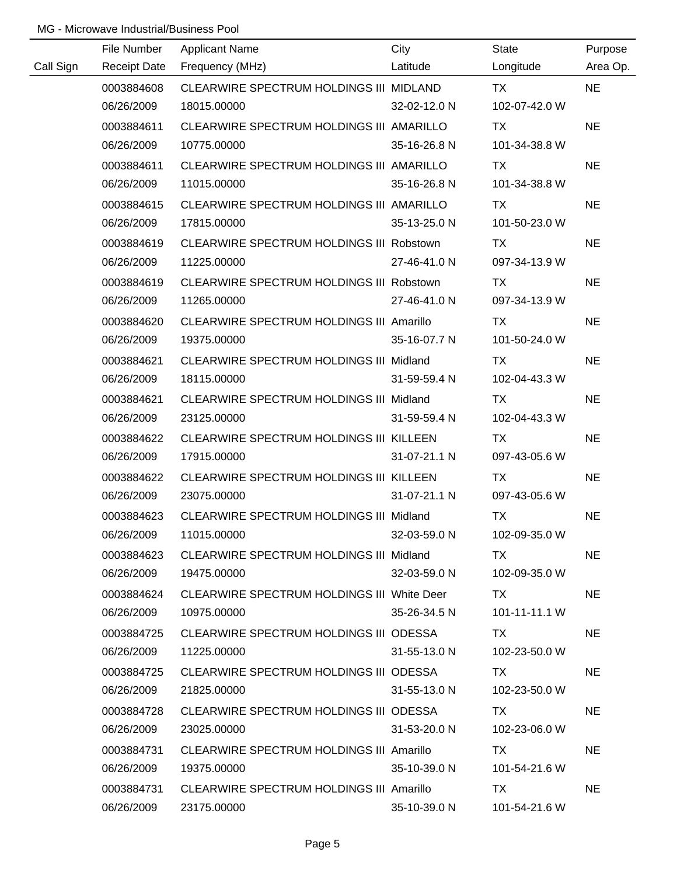|           | File Number | <b>Applicant Name</b>                      | City         | State                       | Purpose   |
|-----------|-------------|--------------------------------------------|--------------|-----------------------------|-----------|
| Call Sign |             | Receipt Date Frequency (MHz)               | Latitude     | Longitude                   | Area Op.  |
|           | 0003884608  | CLEARWIRE SPECTRUM HOLDINGS III MIDLAND    |              | TX TX                       | <b>NE</b> |
|           | 06/26/2009  | 18015.00000                                | 32-02-12.0 N | 102-07-42.0 W               |           |
|           | 0003884611  | CLEARWIRE SPECTRUM HOLDINGS III AMARILLO   |              | TX                          | <b>NE</b> |
|           | 06/26/2009  | 10775.00000                                | 35-16-26.8 N | 101-34-38.8 W               |           |
|           | 0003884611  | CLEARWIRE SPECTRUM HOLDINGS III AMARILLO   |              | TX                          | <b>NE</b> |
|           | 06/26/2009  | 11015.00000                                | 35-16-26.8 N | 101-34-38.8 W               |           |
|           | 0003884615  | CLEARWIRE SPECTRUM HOLDINGS III AMARILLO   |              | TX                          | <b>NE</b> |
|           | 06/26/2009  | 17815.00000                                | 35-13-25.0 N | 101-50-23.0 W               |           |
|           | 0003884619  | CLEARWIRE SPECTRUM HOLDINGS III Robstown   |              | TX                          | <b>NE</b> |
|           | 06/26/2009  | 11225.00000                                | 27-46-41.0 N | 097-34-13.9 W               |           |
|           | 0003884619  | CLEARWIRE SPECTRUM HOLDINGS III Robstown   |              | TX.                         | <b>NE</b> |
|           | 06/26/2009  | 11265.00000                                | 27-46-41.0 N | 097-34-13.9 W               |           |
|           | 0003884620  | CLEARWIRE SPECTRUM HOLDINGS III Amarillo   |              | TX.                         | <b>NE</b> |
|           | 06/26/2009  | 19375.00000                                | 35-16-07.7 N | 101-50-24.0 W               |           |
|           | 0003884621  | CLEARWIRE SPECTRUM HOLDINGS III Midland    |              | TX                          | <b>NE</b> |
|           | 06/26/2009  | 18115.00000                                | 31-59-59.4 N | 102-04-43.3 W               |           |
|           | 0003884621  | CLEARWIRE SPECTRUM HOLDINGS III Midland    |              | TX                          | <b>NE</b> |
|           | 06/26/2009  | 23125.00000                                | 31-59-59.4 N | 102-04-43.3 W               |           |
|           | 0003884622  | CLEARWIRE SPECTRUM HOLDINGS III KILLEEN    |              | TX                          | <b>NE</b> |
|           | 06/26/2009  | 17915.00000                                | 31-07-21.1 N | 097-43-05.6 W               |           |
|           | 0003884622  | CLEARWIRE SPECTRUM HOLDINGS III KILLEEN    |              | <b>TX</b>                   | <b>NE</b> |
|           | 06/26/2009  | 23075.00000                                | 31-07-21.1 N | 097-43-05.6 W               |           |
|           | 0003884623  | CLEARWIRE SPECTRUM HOLDINGS III Midland    |              | <b>TX</b>                   | <b>NE</b> |
|           | 06/26/2009  | 11015.00000                                | 32-03-59.0 N | 102-09-35.0 W               |           |
|           | 0003884623  | CLEARWIRE SPECTRUM HOLDINGS III Midland    |              | TX.                         | <b>NE</b> |
|           | 06/26/2009  | 19475.00000                                | 32-03-59.0 N | 102-09-35.0 W               |           |
|           | 0003884624  | CLEARWIRE SPECTRUM HOLDINGS III White Deer |              | TX.                         | <b>NE</b> |
|           | 06/26/2009  | 10975.00000                                | 35-26-34.5 N | $101 - 11 - 11.1 \text{ W}$ |           |
|           | 0003884725  | CLEARWIRE SPECTRUM HOLDINGS III ODESSA     |              | TX.                         | NE.       |
|           | 06/26/2009  | 11225.00000                                | 31-55-13.0 N | 102-23-50.0 W               |           |
|           | 0003884725  | CLEARWIRE SPECTRUM HOLDINGS III ODESSA     |              | TX                          | <b>NE</b> |
|           | 06/26/2009  | 21825.00000                                | 31-55-13.0 N | 102-23-50.0 W               |           |
|           | 0003884728  | CLEARWIRE SPECTRUM HOLDINGS III ODESSA     |              | TX.                         | <b>NE</b> |
|           | 06/26/2009  | 23025.00000                                | 31-53-20.0 N | 102-23-06.0 W               |           |
|           | 0003884731  | CLEARWIRE SPECTRUM HOLDINGS III Amarillo   |              | TX.                         | <b>NE</b> |
|           | 06/26/2009  | 19375.00000                                | 35-10-39.0 N | 101-54-21.6 W               |           |
|           | 0003884731  | CLEARWIRE SPECTRUM HOLDINGS III Amarillo   |              | TX                          | <b>NE</b> |
|           | 06/26/2009  | 23175.00000                                | 35-10-39.0 N | 101-54-21.6 W               |           |